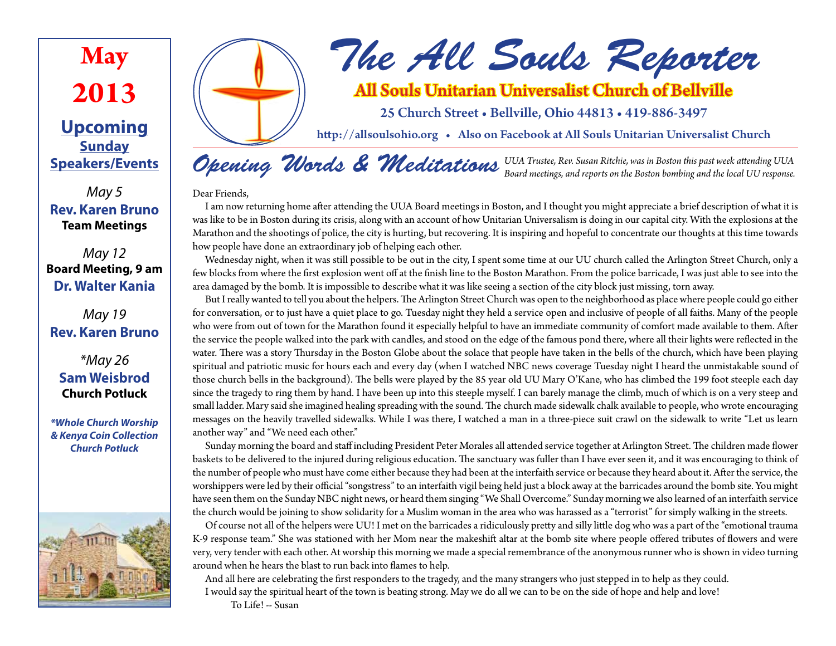

## **Upcoming Sunday Speakers/Events**

*May 5* **Rev. Karen Bruno Team Meetings**

### *May 12* **Board Meeting, 9 am Dr. Walter Kania**

*May 19* **Rev. Karen Bruno**

*\*May 26* **Sam Weisbrod Church Potluck**

*\*Whole Church Worship & Kenya Coin Collection Church Potluck*





# All Souls Unitarian Universalist Church of Bellville

25 Church Street • Bellville, Ohio 44813 • 419-886-3497

http://allsoulsohio.org • Also on Facebook at All Souls Unitarian Universalist Church

*Opening Words & Meditations UUA Trustee, Rev. Susan Ritchie, was in Boston this past week attending UUA Board meetings, and reports on the Boston bombing and the local UU response.*

Dear Friends,

I am now returning home after attending the UUA Board meetings in Boston, and I thought you might appreciate a brief description of what it is was like to be in Boston during its crisis, along with an account of how Unitarian Universalism is doing in our capital city. With the explosions at the Marathon and the shootings of police, the city is hurting, but recovering. It is inspiring and hopeful to concentrate our thoughts at this time towards how people have done an extraordinary job of helping each other.

Wednesday night, when it was still possible to be out in the city, I spent some time at our UU church called the Arlington Street Church, only a few blocks from where the first explosion went off at the finish line to the Boston Marathon. From the police barricade, I was just able to see into the area damaged by the bomb. It is impossible to describe what it was like seeing a section of the city block just missing, torn away.

But I really wanted to tell you about the helpers. The Arlington Street Church was open to the neighborhood as place where people could go either for conversation, or to just have a quiet place to go. Tuesday night they held a service open and inclusive of people of all faiths. Many of the people who were from out of town for the Marathon found it especially helpful to have an immediate community of comfort made available to them. After the service the people walked into the park with candles, and stood on the edge of the famous pond there, where all their lights were reflected in the water. There was a story Thursday in the Boston Globe about the solace that people have taken in the bells of the church, which have been playing spiritual and patriotic music for hours each and every day (when I watched NBC news coverage Tuesday night I heard the unmistakable sound of those church bells in the background). The bells were played by the 85 year old UU Mary O'Kane, who has climbed the 199 foot steeple each day since the tragedy to ring them by hand. I have been up into this steeple myself. I can barely manage the climb, much of which is on a very steep and small ladder. Mary said she imagined healing spreading with the sound. The church made sidewalk chalk available to people, who wrote encouraging messages on the heavily travelled sidewalks. While I was there, I watched a man in a three-piece suit crawl on the sidewalk to write "Let us learn another way" and "We need each other."

Sunday morning the board and staff including President Peter Morales all attended service together at Arlington Street. The children made flower baskets to be delivered to the injured during religious education. The sanctuary was fuller than I have ever seen it, and it was encouraging to think of the number of people who must have come either because they had been at the interfaith service or because they heard about it. After the service, the worshippers were led by their official "songstress" to an interfaith vigil being held just a block away at the barricades around the bomb site. You might have seen them on the Sunday NBC night news, or heard them singing "We Shall Overcome." Sunday morning we also learned of an interfaith service the church would be joining to show solidarity for a Muslim woman in the area who was harassed as a "terrorist" for simply walking in the streets.

Of course not all of the helpers were UU! I met on the barricades a ridiculously pretty and silly little dog who was a part of the "emotional trauma K-9 response team." She was stationed with her Mom near the makeshift altar at the bomb site where people offered tributes of flowers and were very, very tender with each other. At worship this morning we made a special remembrance of the anonymous runner who is shown in video turning around when he hears the blast to run back into flames to help.

And all here are celebrating the first responders to the tragedy, and the many strangers who just stepped in to help as they could. I would say the spiritual heart of the town is beating strong. May we do all we can to be on the side of hope and help and love!

To Life! -- Susan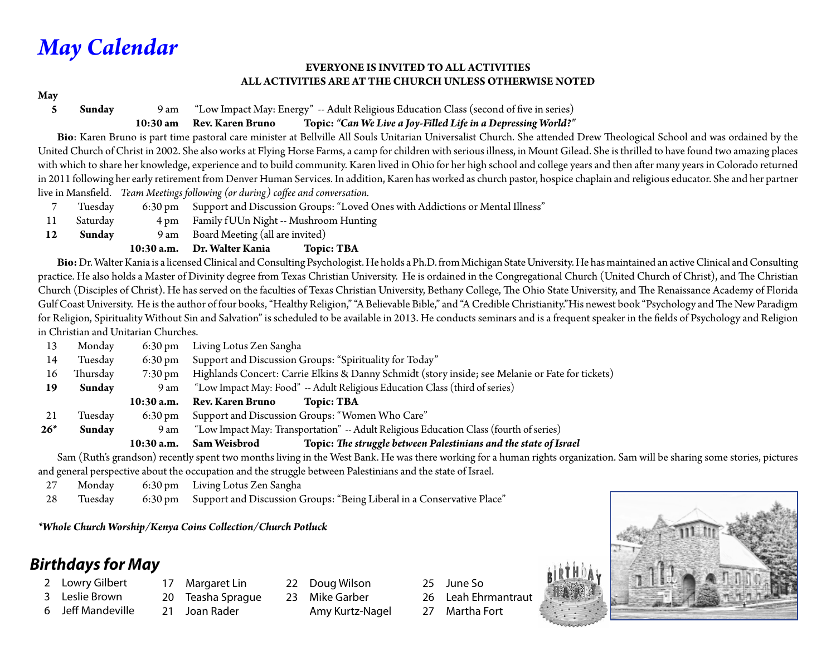# *May Calendar*

#### **EVERYONE IS INVITED TO ALL ACTIVITIES ALL ACTIVITIES ARE AT THE CHURCH UNLESS OTHERWISE NOTED**

#### **May**

#### **5 Sunday** 9 am "Low Impact May: Energy" -- Adult Religious Education Class (second of five in series)

#### **10:30 am Rev. Karen Bruno Topic:** *"Can We Live a Joy-Filled Life in a Depressing World?"*

 **Bio**: Karen Bruno is part time pastoral care minister at Bellville All Souls Unitarian Universalist Church. She attended Drew Theological School and was ordained by the United Church of Christ in 2002. She also works at Flying Horse Farms, a camp for children with serious illness, in Mount Gilead. She is thrilled to have found two amazing places with which to share her knowledge, experience and to build community. Karen lived in Ohio for her high school and college years and then after many years in Colorado returned in 2011 following her early retirement from Denver Human Services. In addition, Karen has worked as church pastor, hospice chaplain and religious educator. She and her partner live in Mansfield. *Team Meetings following (or during) coffee and conversation.*

- 7 Tuesday 6:30 pm Support and Discussion Groups: "Loved Ones with Addictions or Mental Illness"
- 11 Saturday 4 pm Family f UUn Night -- Mushroom Hunting
- **12 Sunday** 9 am Board Meeting (all are invited)

#### **10:30 a.m. Dr. Walter Kania Topic: TBA**

 **Bio:** Dr. Walter Kania is a licensed Clinical and Consulting Psychologist. He holds a Ph.D. from Michigan State University. He has maintained an active Clinical and Consulting practice. He also holds a Master of Divinity degree from Texas Christian University. He is ordained in the Congregational Church (United Church of Christ), and The Christian Church (Disciples of Christ). He has served on the faculties of Texas Christian University, Bethany College, The Ohio State University, and The Renaissance Academy of Florida Gulf Coast University. He is the author of four books, "Healthy Religion," "A Believable Bible," and "A Credible Christianity."His newest book "Psychology and The New Paradigm for Religion, Spirituality Without Sin and Salvation" is scheduled to be available in 2013. He conducts seminars and is a frequent speaker in the fields of Psychology and Religion in Christian and Unitarian Churches.

| 13    | Monday   | $6:30 \text{ pm}$ | Living Lotus Zen Sangha                                                                          |
|-------|----------|-------------------|--------------------------------------------------------------------------------------------------|
| 14    | Tuesday  | $6:30 \text{ pm}$ | Support and Discussion Groups: "Spirituality for Today"                                          |
| 16    | Thursday | 7:30 pm           | Highlands Concert: Carrie Elkins & Danny Schmidt (story inside; see Melanie or Fate for tickets) |
| 19    | Sunday   | 9 am              | "Low Impact May: Food" -- Adult Religious Education Class (third of series)                      |
|       |          |                   |                                                                                                  |
|       |          | $10:30$ a.m.      | <b>Rev. Karen Bruno</b><br><b>Topic: TBA</b>                                                     |
| 21    | Tuesday  | $6:30 \text{ pm}$ | Support and Discussion Groups: "Women Who Care"                                                  |
| $26*$ | Sunday   | 9 am              | "Low Impact May: Transportation" -- Adult Religious Education Class (fourth of series)           |

 Sam (Ruth's grandson) recently spent two months living in the West Bank. He was there working for a human rights organization. Sam will be sharing some stories, pictures and general perspective about the occupation and the struggle between Palestinians and the state of Israel.

27 Monday 6:30 pm Living Lotus Zen Sangha

28 Tuesday 6:30 pm Support and Discussion Groups: "Being Liberal in a Conservative Place"

*\*Whole Church Worship/Kenya Coins Collection/Church Potluck*

# *Birthdays for May*

- 2 Lowry Gilbert
- 3 Leslie Brown
- 6 Jeff Mandeville 21 Joan Rader
- 17 Margaret Lin 20 Teasha Sprague
- 22 Doug Wilson
- 23 Mike Garber Amy Kurtz-Nagel
- 25 June So
- 26 Leah Ehrmantraut
- 27 Martha Fort

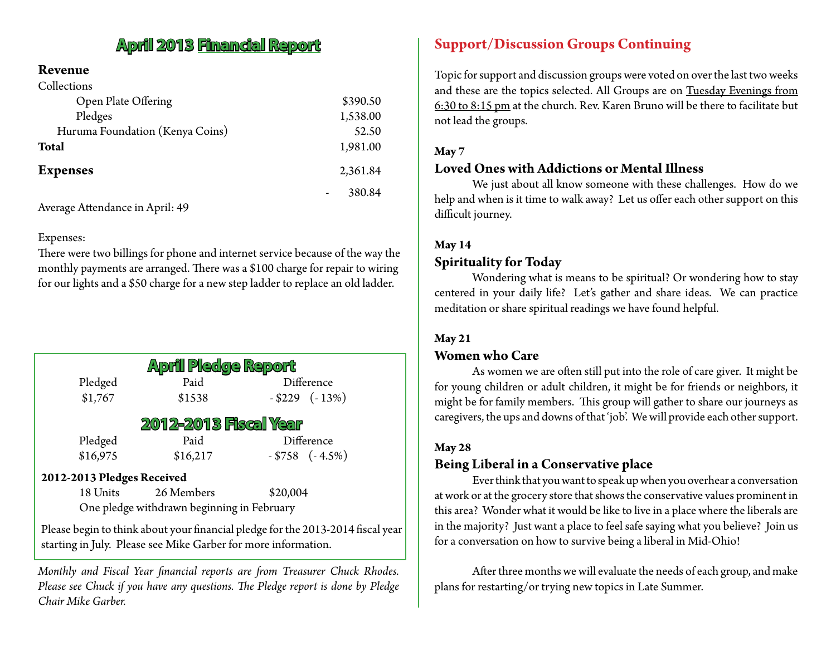# **April 2013 Financial Report**

#### **Revenue**  $\sigma$  in  $\beta$

| Collections                     |          |
|---------------------------------|----------|
| Open Plate Offering             | \$390.50 |
| Pledges                         | 1,538.00 |
| Huruma Foundation (Kenya Coins) | 52.50    |
| <b>Total</b>                    | 1,981.00 |
| <b>Expenses</b>                 | 2,361.84 |
|                                 | 380.84   |

Average Attendance in April: 49

#### Expenses:

There were two billings for phone and internet service because of the way the monthly payments are arranged. There was a \$100 charge for repair to wiring for our lights and a \$50 charge for a new step ladder to replace an old ladder.

| <b>April Pledge Report</b> |            |                      |  |  |  |  |  |
|----------------------------|------------|----------------------|--|--|--|--|--|
| Pledged                    | Paid       | Difference           |  |  |  |  |  |
| \$1,767                    | \$1538     | $-$ \$229 ( $-$ 13%) |  |  |  |  |  |
| 2012-2013 Fiscal Year      |            |                      |  |  |  |  |  |
| Pledged                    | Paid       | Difference           |  |  |  |  |  |
| \$16,975                   | \$16,217   | $-$ \$758 $(-4.5%)$  |  |  |  |  |  |
| 2012-2013 Pledges Received |            |                      |  |  |  |  |  |
| 18 Units                   | 26 Members | \$20,004             |  |  |  |  |  |

One pledge withdrawn beginning in February

Please begin to think about your financial pledge for the 2013-2014 fiscal year starting in July. Please see Mike Garber for more information.

*Monthly and Fiscal Year financial reports are from Treasurer Chuck Rhodes. Please see Chuck if you have any questions. The Pledge report is done by Pledge Chair Mike Garber.*

### **Support/Discussion Groups Continuing**

Topic for support and discussion groups were voted on over the last two weeks and these are the topics selected. All Groups are on Tuesday Evenings from 6:30 to 8:15 pm at the church. Rev. Karen Bruno will be there to facilitate but not lead the groups.

#### **May 7**

#### **Loved Ones with Addictions or Mental Illness**

We just about all know someone with these challenges. How do we help and when is it time to walk away? Let us offer each other support on this difficult journey.

#### **May 14**

### **Spirituality for Today**

Wondering what is means to be spiritual? Or wondering how to stay centered in your daily life? Let's gather and share ideas. We can practice meditation or share spiritual readings we have found helpful.

#### **May 21**

#### **Women who Care**

As women we are often still put into the role of care giver. It might be for young children or adult children, it might be for friends or neighbors, it might be for family members. This group will gather to share our journeys as caregivers, the ups and downs of that 'job'. We will provide each other support.

#### **May 28**

### **Being Liberal in a Conservative place**

Ever think that you want to speak up when you overhear a conversation at work or at the grocery store that shows the conservative values prominent in this area? Wonder what it would be like to live in a place where the liberals are in the majority? Just want a place to feel safe saying what you believe? Join us for a conversation on how to survive being a liberal in Mid-Ohio!

After three months we will evaluate the needs of each group, and make plans for restarting/or trying new topics in Late Summer.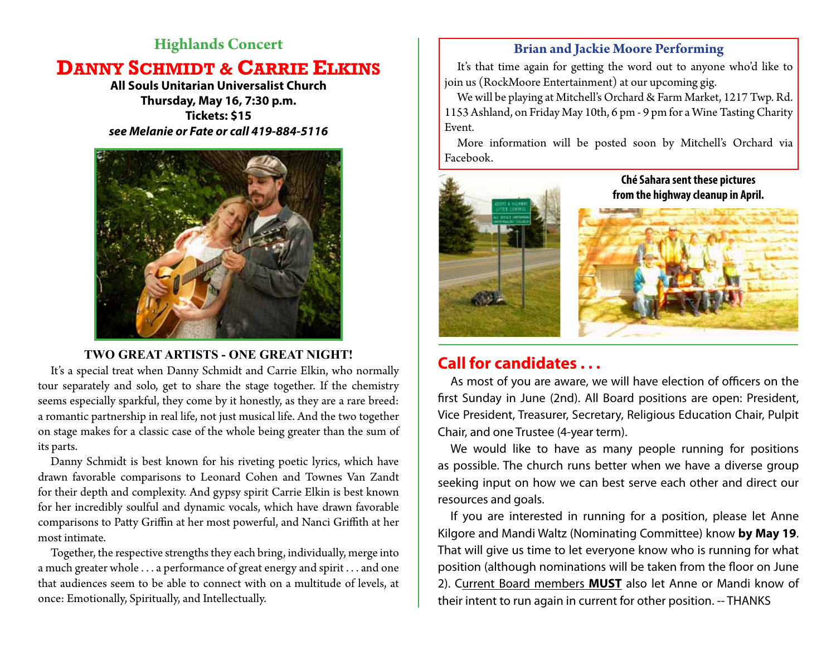### **Highlands Concert**

# **DANNY SCHMIDT & CARRIE ELKINS**

**All Souls Unitarian Universalist Church Thursday, May 16, 7:30 p.m. Tickets: \$15** *see Melanie or Fate or call 419-884-5116*



### **TWO GREAT ARTISTS - ONE GREAT NIGHT!**

It's a special treat when Danny Schmidt and Carrie Elkin, who normally tour separately and solo, get to share the stage together. If the chemistry seems especially sparkful, they come by it honestly, as they are a rare breed: a romantic partnership in real life, not just musical life. And the two together on stage makes for a classic case of the whole being greater than the sum of its parts.

Danny Schmidt is best known for his riveting poetic lyrics, which have drawn favorable comparisons to Leonard Cohen and Townes Van Zandt for their depth and complexity. And gypsy spirit Carrie Elkin is best known for her incredibly soulful and dynamic vocals, which have drawn favorable comparisons to Patty Griffin at her most powerful, and Nanci Griffith at her most intimate.

Together, the respective strengths they each bring, individually, merge into a much greater whole . . . a performance of great energy and spirit . . . and one that audiences seem to be able to connect with on a multitude of levels, at once: Emotionally, Spiritually, and Intellectually.

### **Brian and Jackie Moore Performing**

It's that time again for getting the word out to anyone who'd like to join us (RockMoore Entertainment) at our upcoming gig.

We will be playing at Mitchell's Orchard & Farm Market, 1217 Twp. Rd. 1153 Ashland, on Friday May 10th, 6 pm - 9 pm for a Wine Tasting Charity Event.

More information will be posted soon by Mitchell's Orchard via Facebook.



# **Call for candidates . . .**

As most of you are aware, we will have election of officers on the first Sunday in June (2nd). All Board positions are open: President, Vice President, Treasurer, Secretary, Religious Education Chair, Pulpit Chair, and one Trustee (4-year term).

We would like to have as many people running for positions as possible. The church runs better when we have a diverse group seeking input on how we can best serve each other and direct our resources and goals.

If you are interested in running for a position, please let Anne Kilgore and Mandi Waltz (Nominating Committee) know **by May 19**. That will give us time to let everyone know who is running for what position (although nominations will be taken from the floor on June 2). Current Board members **MUST** also let Anne or Mandi know of their intent to run again in current for other position. -- THANKS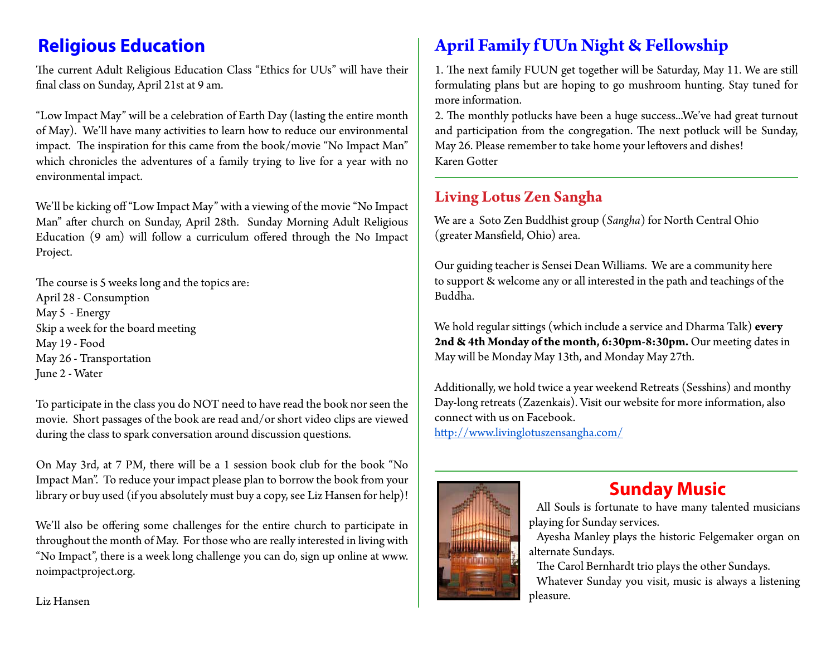The current Adult Religious Education Class "Ethics for UUs" will have their final class on Sunday, April 21st at 9 am.

"Low Impact May" will be a celebration of Earth Day (lasting the entire month of May). We'll have many activities to learn how to reduce our environmental impact. The inspiration for this came from the book/movie "No Impact Man" which chronicles the adventures of a family trying to live for a year with no environmental impact.

We'll be kicking off "Low Impact May" with a viewing of the movie "No Impact Man" after church on Sunday, April 28th. Sunday Morning Adult Religious Education (9 am) will follow a curriculum offered through the No Impact Project.

The course is 5 weeks long and the topics are: April 28 - Consumption May 5 - Energy Skip a week for the board meeting May 19 - Food May 26 - Transportation June 2 - Water

To participate in the class you do NOT need to have read the book nor seen the movie. Short passages of the book are read and/or short video clips are viewed during the class to spark conversation around discussion questions.

On May 3rd, at 7 PM, there will be a 1 session book club for the book "No Impact Man". To reduce your impact please plan to borrow the book from your library or buy used (if you absolutely must buy a copy, see Liz Hansen for help)!

We'll also be offering some challenges for the entire church to participate in throughout the month of May. For those who are really interested in living with "No Impact", there is a week long challenge you can do, sign up online at www. noimpactproject.org.

# **Religious Education April Family f UUn Night & Fellowship**

1. The next family FUUN get together will be Saturday, May 11. We are still formulating plans but are hoping to go mushroom hunting. Stay tuned for more information.

2. The monthly potlucks have been a huge success...We've had great turnout and participation from the congregation. The next potluck will be Sunday, May 26. Please remember to take home your leftovers and dishes! Karen Gotter

# **Living Lotus Zen Sangha**

We are a Soto Zen Buddhist group (*Sangha*) for North Central Ohio (greater Mansfield, Ohio) area.

Our guiding teacher is Sensei Dean Williams. We are a community here to support & welcome any or all interested in the path and teachings of the Buddha.

We hold regular sittings (which include a service and Dharma Talk) **every 2nd & 4th Monday of the month, 6:30pm-8:30pm.** Our meeting dates in May will be Monday May 13th, and Monday May 27th.

Additionally, we hold twice a year weekend Retreats (Sesshins) and monthy Day-long retreats (Zazenkais). Visit our website for more information, also connect with us on Facebook. http://www.livinglotuszensangha.com/



# **Sunday Music**

All Souls is fortunate to have many talented musicians playing for Sunday services.

Ayesha Manley plays the historic Felgemaker organ on alternate Sundays.

The Carol Bernhardt trio plays the other Sundays.

Whatever Sunday you visit, music is always a listening pleasure.

Liz Hansen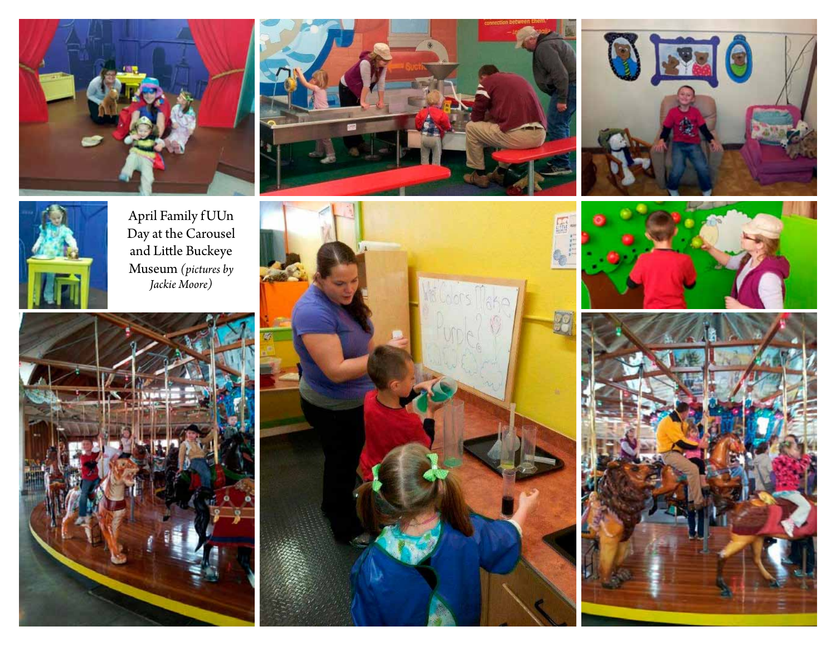







April Family f UUn Day at the Carousel and Little Buckeye Museum *(pictures by Jackie Moore)*







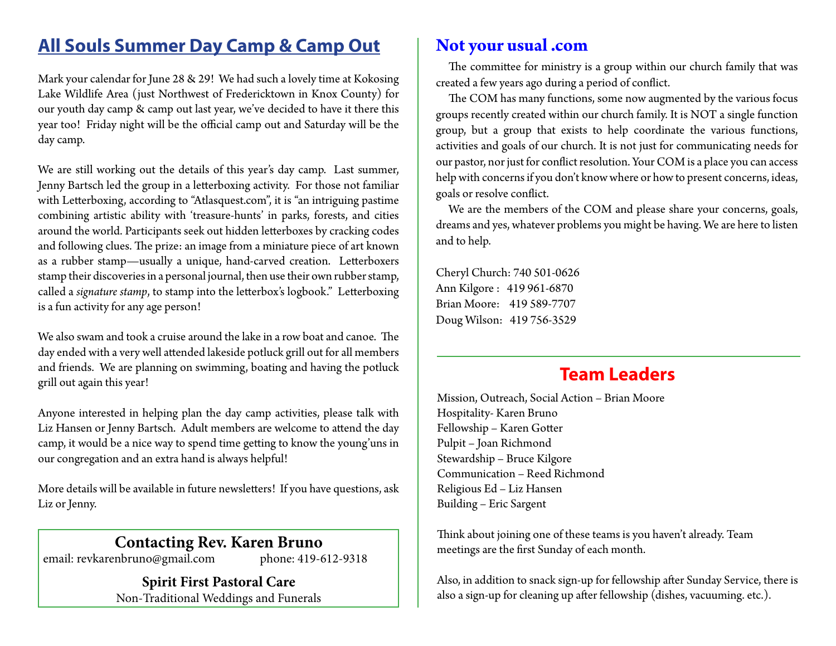# **All Souls Summer Day Camp & Camp Out**

Mark your calendar for June 28 & 29! We had such a lovely time at Kokosing Lake Wildlife Area (just Northwest of Fredericktown in Knox County) for our youth day camp & camp out last year, we've decided to have it there this year too! Friday night will be the official camp out and Saturday will be the day camp.

We are still working out the details of this year's day camp. Last summer, Jenny Bartsch led the group in a letterboxing activity. For those not familiar with Letterboxing, according to "Atlasquest.com", it is "an intriguing pastime combining artistic ability with 'treasure-hunts' in parks, forests, and cities around the world. Participants seek out hidden letterboxes by cracking codes and following clues. The prize: an image from a miniature piece of art known as a rubber stamp—usually a unique, hand-carved creation. Letterboxers stamp their discoveries in a personal journal, then use their own rubber stamp, called a *signature stamp*, to stamp into the letterbox's logbook." Letterboxing is a fun activity for any age person!

We also swam and took a cruise around the lake in a row boat and canoe. The day ended with a very well attended lakeside potluck grill out for all members and friends. We are planning on swimming, boating and having the potluck grill out again this year!

Anyone interested in helping plan the day camp activities, please talk with Liz Hansen or Jenny Bartsch. Adult members are welcome to attend the day camp, it would be a nice way to spend time getting to know the young'uns in our congregation and an extra hand is always helpful!

More details will be available in future newsletters! If you have questions, ask Liz or Jenny.

# **Contacting Rev. Karen Bruno**

email: revkarenbruno@gmail.com phone: 419-612-9318

**Spirit First Pastoral Care** Non-Traditional Weddings and Funerals

# **Not your usual .com**

The committee for ministry is a group within our church family that was created a few years ago during a period of conflict.

The COM has many functions, some now augmented by the various focus groups recently created within our church family. It is NOT a single function group, but a group that exists to help coordinate the various functions, activities and goals of our church. It is not just for communicating needs for our pastor, nor just for conflict resolution. Your COM is a place you can access help with concerns if you don't know where or how to present concerns, ideas, goals or resolve conflict.

We are the members of the COM and please share your concerns, goals, dreams and yes, whatever problems you might be having. We are here to listen and to help.

Cheryl Church: 740 501-0626 Ann Kilgore : 419 961-6870 Brian Moore: 419 589-7707 Doug Wilson: 419 756-3529

# **Team Leaders**

Mission, Outreach, Social Action – Brian Moore Hospitality- Karen Bruno Fellowship – Karen Gotter Pulpit – Joan Richmond Stewardship – Bruce Kilgore Communication – Reed Richmond Religious Ed – Liz Hansen Building – Eric Sargent

Think about joining one of these teams is you haven't already. Team meetings are the first Sunday of each month.

Also, in addition to snack sign-up for fellowship after Sunday Service, there is also a sign-up for cleaning up after fellowship (dishes, vacuuming. etc.).